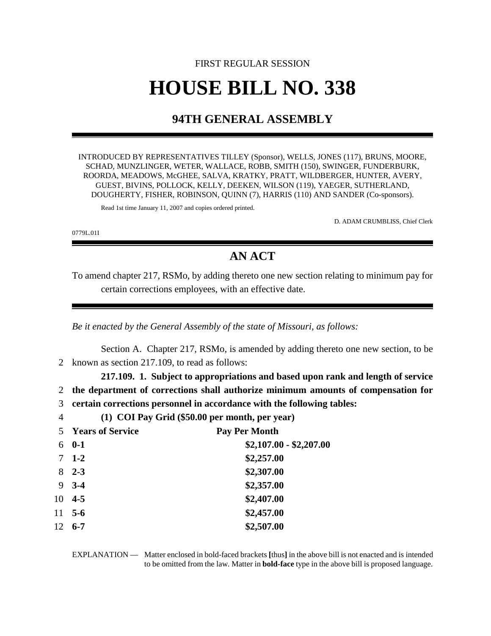## FIRST REGULAR SESSION **HOUSE BILL NO. 338**

## **94TH GENERAL ASSEMBLY**

INTRODUCED BY REPRESENTATIVES TILLEY (Sponsor), WELLS, JONES (117), BRUNS, MOORE, SCHAD, MUNZLINGER, WETER, WALLACE, ROBB, SMITH (150), SWINGER, FUNDERBURK, ROORDA, MEADOWS, McGHEE, SALVA, KRATKY, PRATT, WILDBERGER, HUNTER, AVERY, GUEST, BIVINS, POLLOCK, KELLY, DEEKEN, WILSON (119), YAEGER, SUTHERLAND, DOUGHERTY, FISHER, ROBINSON, QUINN (7), HARRIS (110) AND SANDER (Co-sponsors).

Read 1st time January 11, 2007 and copies ordered printed.

D. ADAM CRUMBLISS, Chief Clerk

0779L.01I

## **AN ACT**

To amend chapter 217, RSMo, by adding thereto one new section relating to minimum pay for certain corrections employees, with an effective date.

*Be it enacted by the General Assembly of the state of Missouri, as follows:*

Section A. Chapter 217, RSMo, is amended by adding thereto one new section, to be 2 known as section 217.109, to read as follows:

**217.109. 1. Subject to appropriations and based upon rank and length of service** 2 **the department of corrections shall authorize minimum amounts of compensation for**

- 3 **certain corrections personnel in accordance with the following tables:**
- 4 **(1) COI Pay Grid (\$50.00 per month, per year)**

|    | <b>5</b> Years of Service | <b>Pay Per Month</b>    |  |
|----|---------------------------|-------------------------|--|
| 6  | $0-1$                     | $$2,107.00 - $2,207.00$ |  |
|    | $7 \t1-2$                 | \$2,257.00              |  |
| 8  | $2 - 3$                   | \$2,307.00              |  |
| 9  | $3 - 4$                   | \$2,357.00              |  |
| 10 | $4 - 5$                   | \$2,407.00              |  |
| 11 | $5-6$                     | \$2,457.00              |  |
| 12 | $6 - 7$                   | \$2,507.00              |  |
|    |                           |                         |  |

EXPLANATION — Matter enclosed in bold-faced brackets **[**thus**]** in the above bill is not enacted and is intended to be omitted from the law. Matter in **bold-face** type in the above bill is proposed language.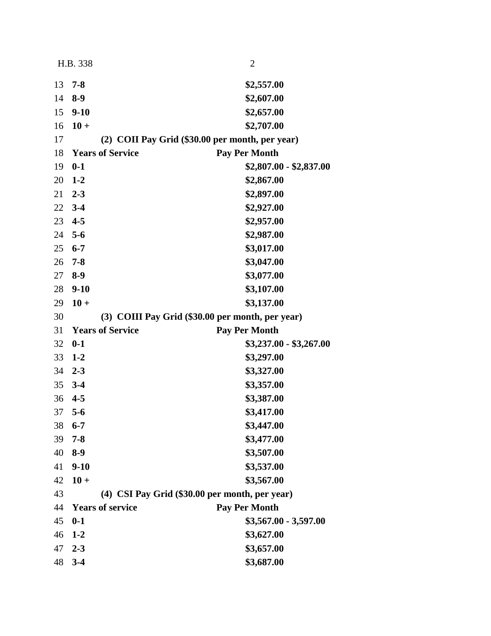|    | H.B. 338 | $\overline{2}$                                   |
|----|----------|--------------------------------------------------|
| 13 | $7 - 8$  | \$2,557.00                                       |
| 14 | $8-9$    | \$2,607.00                                       |
| 15 | $9 - 10$ | \$2,657.00                                       |
| 16 | $10 +$   | \$2,707.00                                       |
| 17 |          | (2) COII Pay Grid (\$30.00 per month, per year)  |
| 18 |          | <b>Years of Service</b><br><b>Pay Per Month</b>  |
| 19 | $0-1$    | $$2,807.00 - $2,837.00$                          |
| 20 | $1 - 2$  | \$2,867.00                                       |
| 21 | $2 - 3$  | \$2,897.00                                       |
| 22 | $3-4$    | \$2,927.00                                       |
| 23 | $4 - 5$  | \$2,957.00                                       |
| 24 | $5 - 6$  | \$2,987.00                                       |
| 25 | $6 - 7$  | \$3,017.00                                       |
| 26 | $7 - 8$  | \$3,047.00                                       |
| 27 | $8-9$    | \$3,077.00                                       |
| 28 | $9 - 10$ | \$3,107.00                                       |
| 29 | $10 +$   | \$3,137.00                                       |
| 30 |          | (3) COIII Pay Grid (\$30.00 per month, per year) |
| 31 |          | <b>Years of Service</b><br><b>Pay Per Month</b>  |
| 32 | $0-1$    | $$3,237.00 - $3,267.00$                          |
| 33 | $1 - 2$  | \$3,297.00                                       |
| 34 | $2 - 3$  | \$3,327.00                                       |
| 35 | $3 - 4$  | \$3,357.00                                       |
| 36 | $4 - 5$  | \$3,387.00                                       |
| 37 | $5 - 6$  | \$3,417.00                                       |
| 38 | $6 - 7$  | \$3,447.00                                       |
| 39 | $7 - 8$  | \$3,477.00                                       |
| 40 | $8-9$    | \$3,507.00                                       |
| 41 | $9-10$   | \$3,537.00                                       |
| 42 | $10 +$   | \$3,567.00                                       |
| 43 |          | (4) CSI Pay Grid (\$30.00 per month, per year)   |
| 44 |          | <b>Years of service</b><br><b>Pay Per Month</b>  |
| 45 | $0-1$    | $$3,567.00 - 3,597.00$                           |
| 46 | $1-2$    | \$3,627.00                                       |
| 47 | $2 - 3$  | \$3,657.00                                       |
| 48 | $3-4$    | \$3,687.00                                       |